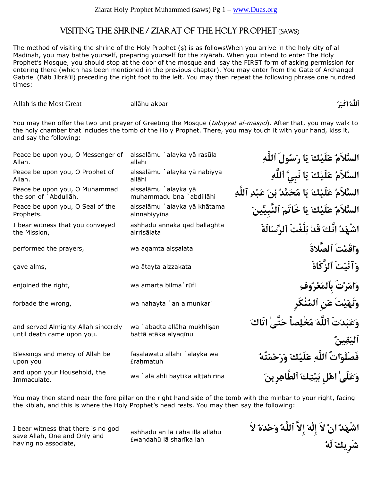### Visiting the Shrine / Ziarat of the Holy Prophet (saws)

The method of visiting the shrine of the Holy Prophet  $(s)$  is as followsWhen you arrive in the holy city of al-Madinah, you may bathe yourself, preparing yourself for the ziyarah. When you intend to enter The Holy Prophet's Mosque, you should stop at the door of the mosque and say the FIRST form of asking permission for entering there (which has been mentioned in the previous chapter). You may enter from the Gate of Archangel Gabriel (Bāb Jibrā'īl) preceding the right foot to the left. You may then repeat the following phrase one hundred times:

Allah is the Most Great all¡hu akbar **ُرَاكْب ُاَللَّه**

You may then offer the two unit prayer of Greeting the Mosque (tahiyyat al-masjid). After that, you may walk to the holy chamber that includes the tomb of the Holy Prophet. There, you may touch it with your hand, kiss it, and say the following:

| Peace be upon you, O Messenger of<br>Allah.                       | alssalāmu `alayka yā rasūla<br>allāhi               | السَّلاَمُ عَلَيْكَ يَا رَسُولَ ٱللَّٰهِ                |
|-------------------------------------------------------------------|-----------------------------------------------------|---------------------------------------------------------|
| Peace be upon you, O Prophet of<br>Allah.                         | alssalāmu `alayka yā nabiyya<br>allāhi              | السَّلاَمُ عَلَيْكَ يَا نَبِيَّ ٱللَّٰهِ                |
| Peace be upon you, O Muhammad<br>the son of `Abdullāh.            | alssalāmu `alayka yā<br>muhammadu bna `abdillāhi    | السَّلاَمُ عَلَيْكَ يَا مُحَمَّدُ بْنَ عَبْدِ ٱللَّهِ   |
| Peace be upon you, O Seal of the<br>Prophets.                     | alssalāmu `alayka yā khātama<br>alnnabiyyīna        | السَّلاَمُ عَلَيْكَ يَا خَاتَمَ ٱلنَّبِيِّينَ           |
| I bear witness that you conveyed<br>the Mission,                  | ashhadu annaka qad ballaghta<br>alrrisālata         | اشْهَدُ انَّكَ قَدْ بَلَّغْتَ ٱلرِّسَالَةَ              |
| performed the prayers,                                            | wa aqamta alşşalata                                 | واقَمْتَ ٱلصَّلاةَ                                      |
| gave alms,                                                        | wa ātayta alzzakata                                 | وَآتَيْتَ ٱلزَّكَاةَ                                    |
| enjoined the right,                                               | wa amarta bilma`rūfi                                | وامَرْتَ بِٱلمَعْرُوفِ                                  |
| forbade the wrong,                                                | wa nahayta `an almunkari                            | وَنَهَيْتَ عَنِ ٱلمُنْكَرِ                              |
| and served Almighty Allah sincerely<br>until death came upon you. | wa `abadta allāha mukhlisan<br>hattā atāka alyagīnu | وَعَبَدْتَ ٱللَّهَ مُخْلِصاً حَتَّى'اتَاكَ<br>ٱليَقِينُ |
| Blessings and mercy of Allah be<br>upon you                       | faşalawātu allāhi `alayka wa<br>£raḥmatuh           | فَصَلَواتُ ٱللَّٰهِ عَلَيْكَ وَرَحْمَتُهُ               |
| and upon your Household, the<br>Immaculate.                       | wa `alā ahli baytika alțțāhirīna                    | وَعَلَىٰ اهْل بَيْتِكَ ٱلطَّاهِرِينَ                    |
|                                                                   |                                                     |                                                         |

You may then stand near the fore pillar on the right hand side of the tomb with the minbar to your right, facing the kiblah, and this is where the Holy Prophet's head rests. You may then say the following:

I bear witness that there is no god save Allah, One and Only and having no associate,

ashhadu an lā ilāha illā allāhu £wahdahū lā sharīka lah

**اشْهَدُ انْ لاَ إِلٰهَ إِلاَّ ٱللَّهُ وَحْدَهُ لاَ شَرِيكَ لَهُ**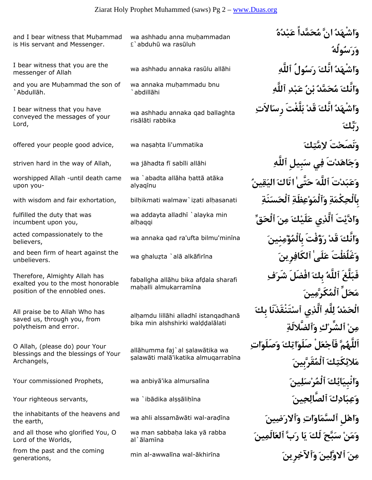and I bear witness that Muhammad is His servant and Messenger.

messenger of Allah

and you are Muhammad the son of `Abdullāh.

I bear witness that you have conveyed the messages of your Lord,

worshipped Allah -until death came upon you-

fulfilled the duty that was incumbent upon you,

believers,

wa ghalu¨ta `al¡ alk¡fir¢na **َرِينِٱلكَاف ٰلَىَع غَلُظْتََو** and been firm of heart against the unbelievers.

Therefore, Almighty Allah has exalted you to the most honorable position of the ennobled ones.

All praise be to Allah Who has saved us, through you, from polytheism and error.

O Allah, (please do) pour Your blessings and the blessings of Your Archangels,

wa ahli alssam¡w¡ti wal-ara¤¢na **َينِضَرٱلاَو ِاتَاوَٱلسَّم لِْهاَو** the inhabitants of the heavens and the earth,

and all those who glorified You, O Lord of the Worlds,

min al-awwal¢na wal-¡khir¢na **َرِينِٱلآخَو َينِوَّلٱلا َنِم** from the past and the coming generations,

wa ashhadu anna muhammadan  $£$ `abduhū wa rasūluh

wa annaka muhammadu bnu `abdillāhi

wa ashhadu annaka qad ballaghta risālāti rabbika

wa `abadta allāha hattā atāka alyagīnu

wa addayta alladhi `alayka min alhaqqi

faballgha allāhu bika afdala sharafi mahalli almukarramīna

alhamdu lillāhi alladhī istangadhanā bika min alshshirki walddalālati

allāhumma faj`al şalawātika wa salawāti malā'ikatika almuqarrabīna

wa man sabbaha laka ya rabba al`ālamīna

**وَاشْهَدُ انَّ مُحَمَّداً عَبْدُهُ وَرَسُولُهُ** wa ashhadu annaka ras£lu all¡hi **ِٱللَّه ولُُسَر َنَّكا ُدَشْهاَو** I bear witness that you are the **وَانَّكَ مُحَمَّدُ بْنُ عَبْدِ ٱللَّهِ وَاشْهَدُ انَّكَ قَدْ بَلَّغْتَ رِسَالاَتِ رَبِّكَ** offered your people good advice, wa na¥a¦ta li'ummatika **َكِمَّتِلا تَْنَصَحَو** striven hard in the way of Allah, wa j¡hadta f¢ sab¢li all¡hi **ِٱللَّه بِيلَِس يِف تَْدَاهَجَو وَعَبَدْتَ ٱللَّهَ حَتَّىٰ اتَاكَ اليَقِينُ** with wisdom and fair exhortation, bilḥikmati walmaw`iẓati alḥasanati **بَاْلْحِكْمَةِ وَٱلْمَوْعِظَةِ ٱلْحَسَنَةِ وَادَّيْتَ ٱلَّذِي عَلَيْكَ مِنَ ٱلْحَقِّ** wa annaka qad ra'ufta bilmu'min¢na **َنِينِمْؤُبِٱلْم فْتَُؤَر ْقَد َنَّكاَو** acted compassionately to the **فَبَلَّغَ ٱللَّهُ بِكَ افْضَلَ شَرَفِ مَحَلِّ ٱلْمُكَرَّمِينَ الْحَمْدُ لِلَّهِ ٱلَّذِي ٱسْتَنْقَذَنَا بِكَ مِنْ ٱلشِّرْكِ وَٱلضَّلالَةِ اَللَّهُمَّ فَٱجْعَلْ صَلَوَاتِكَ وَصَلَوَاتِ مَلائِكَتِكَ ٱلْمُقَرَّبِينَ وَانْبِيَائِكَ ٱلْمُرْسَلِينَ** na¢almursal ika¡'anbiy wa ,Prophets commissioned Your Your righteous servants, wa `ib¡dika al¥¥¡li¦¢na **َينِحِٱلصَّال َكِادَبِعَو وَمَنْ سَبَّحَ لَكَ يَا رَبَّ ٱلعَالَمِينَ**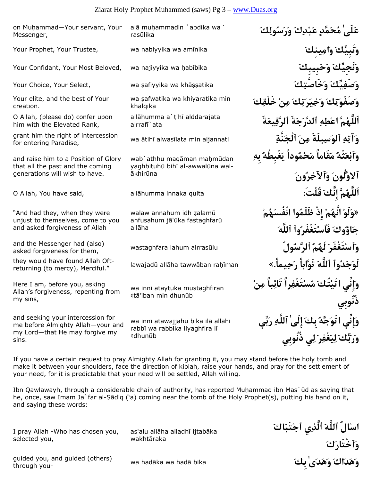### Ziarat Holy Prophet Muhammed (saws) Pg 3 – www.Duas.org

alā muḥammadin `abdika wa`

rasūlika

on Muhammad-Your servant, Your

Your elite, and the best of Your

O Allah, (please do) confer upon him with the Elevated Rank,

and raise him to a Position of Glory that all the past and the coming generations will wish to have.

"And had they, when they were unjust to themselves, come to you and asked forgiveness of Allah

asked forgiveness for them,

returning (to mercy), Merciful."

Here I am, before you, asking Allah's forgiveness, repenting from

and seeking your intercession for me before Almighty Allah—your and my Lord—that He may forgive my

my sins,

sins.

for entering Paradise,

Messenger,

creation.

selected you, wa had¡ka wa had¡ bika **َبِك ٰىَدَهَو َاكَدَهَو** guided you, and guided (others) through you-

I pray Allah -Who has chosen you,

as'alu allāha alladhī ijtabāka wakhtāraka

¢tā'iban min dhunūb

wa innī atawajjahu bika ilā allāhi rabbī wa rabbika liyaghfira lī ¢dhun£b

Your Prophet, Your Trustee, wa nabiyyika wa am¢nika **َينِكِماَو َنَبِيِّكَو** Your Confidant, Your Most Beloved, wa najiyyika wa ¦ab¢bika **َبِيبِكَحَو َنَجِيِّكَو** Your Choice, Your Select, wa ¥afiyyika wa kh¡¥¥atika **َكِخَاصَّتَو َيِّكِصَفَو وَصَفْوَتِكَ وَخِيَرَتِكَ مِنْ خَلْقِكَ اَللَّهُمَّ اعْطِهِ ٱلدَّرَجَةَ ٱلرَّفِيعَةَ** wa ¡tih¢ alwas¢lata min aljannati **ِنَّةَٱلْج َنِم يلَةَِسَٱلو ِهِآتَو** grant him the right of intercession **وَٱبْعَثْهُ مَقَاماً مَحْمُوداً يَغْبِطُهُ بِهِ ٱلاوَّلُونَ وَٱلآخِرُونَ** O Allah, You have said, all¡humma innaka qulta **:قُلْتَ َإِنَّك مَُّاَللَّه «وَلَوْ انَّهُمْ إِذْ ظَلَمُوا انْفُسَهُمْ جَاؤُوكَ فَٱسْتَغْفَرُوٱ ٱللَّهَ** wastaghfara lahum alrras£lu **ولُُٱلرَّس ُمُلَه َتَغْفَرْٱسَو** and the Messenger had (also) lawajad£ all¡ha taww¡ban ra¦¢man **«.يماًِحَر تَوَّاباً َٱللَّه وٱُدَجَلَو** they would have found Allah Oft-**وَإِنِّي اتَيْتُكَ مُسْتَغْفِراً تَائِباً مِنْ ذُنُوبِي وَإِنِّي اتَوَجَّهُ بِكَ إِلَىٰ ٱللَّهِ رَبِّي وَرَبِّكَ لِيَغْفِرَ لِي ذُنُوبِي**

**عَلَىٰ مُحَمَّدٍ عَبْدِكَ وَرَسُولِكَ**

If you have a certain request to pray Almighty Allah for granting it, you may stand before the holy tomb and make it between your shoulders, face the direction of kiblah, raise your hands, and pray for the settlement of your need, for it is predictable that your need will be settled, Allah willing.

Ibn Qawlawayh, through a considerable chain of authority, has reported Muhammad ibn Mas`ūd as saying that he, once, saw Imam Ja`far al-Ṣādiq ('a) coming near the tomb of the Holy Prophet(s), putting his hand on it, and saying these words:

wa safwatika wa khiyaratika min khalqika

allāhumma a`tihī alddarajata alrraf¢`ata

wab`athhu maqāman mahmūdan yaghbituhū bihī al-awwalūna wal-¡khir£na

walaw annahum idh zalamū anfusahum jā'ūka fastaghfarū allāha

wa innī ataytuka mustaghfiran

**اسْالُ ٱللَّهَ ٱلَّذِي ٱجْتَبَاكَ وَٱخْتَارَكَ**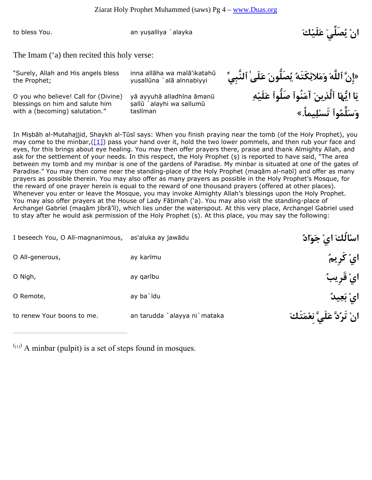to bless You.

**انْ يُصَلِّيَ عَلَيْكَ** alayka `alliya¥yu an

The Imam ('a) then recited this holy verse:

"Surely, Allah and His angels bless the Prophet;

yuşallūna `alā alnnabiyyi

O you who believe! Call for (Divine) blessings on him and salute him with a (becoming) salutation."

yā ayyuhā alladhīna āmanū sallū `alayhi wa sallumū taslīman

 £ikatah¡'mal wa ha¡all inna**» إِنَّ ٱللَّهَ وَمَلائِكَتَهُ يُصَلُّونَ عَلَىٰ ٱلنَّبِيِّ يَا ايُّهَا ٱلَّذِينَ آمَنُوٱ صَلُّوٱ عَلَيْهِ وَسَلِّمُوٱ تَسْلِيماً.»**

In Mişbāh al-Mutahajjid, Shaykh al-Tūsī says: When you finish praying near the tomb (of the Holy Prophet), you may come to the minbar,( $[1]$ ) pass your hand over it, hold the two lower pommels, and then rub your face and eyes, for this brings about eye healing. You may then offer prayers there, praise and thank Almighty Allah, and ask for the settlement of your needs. In this respect, the Holy Prophet (\$) is reported to have said, "The area between my tomb and my minbar is one of the gardens of Paradise. My minbar is situated at one of the gates of Paradise." You may then come near the standing-place of the Holy Prophet (magām al-nabī) and offer as many prayers as possible therein. You may also offer as many prayers as possible in the Holy Prophet's Mosque, for the reward of one prayer herein is equal to the reward of one thousand prayers (offered at other places). Whenever you enter or leave the Mosque, you may invoke Almighty Allah's blessings upon the Holy Prophet. You may also offer prayers at the House of Lady Fatimah ('a). You may also visit the standing-place of Archangel Gabriel (maqām jibrā'īl), which lies under the waterspout. At this very place, Archangel Gabriel used to stay after he would ask permission of the Holy Prophet (s). At this place, you may say the following:

| I beseech You, O All-magnanimous, as'aluka ay jawādu |                              | اسْأَلُكَ ايْ جَوَادٌ         |
|------------------------------------------------------|------------------------------|-------------------------------|
| O All-generous,                                      | ay karīmu                    | ایْ کُریمٌ                    |
| O Nigh,                                              | ay qaribu                    | ايْ قَرِيبُ                   |
| O Remote,                                            | ay ba`īdu                    | ایْ بَعِیدُ                   |
| to renew Your boons to me.                           | an tarudda `alayya ni`mataka | انْ تَرُدَّ عَلَىَّ نغْمَتَكَ |

 $\binom{(11)}{11}$  A minbar (pulpit) is a set of steps found in mosques.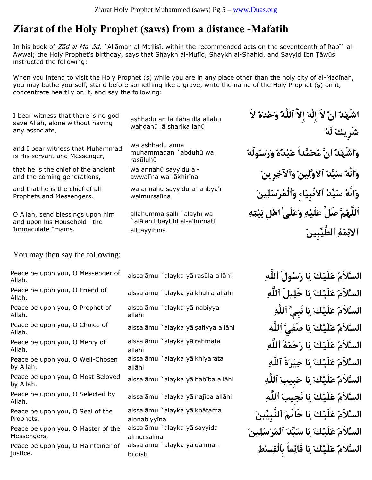## **Ziarat of the Holy Prophet (saws) from a distance -Mafatih**

In his book of Zad al-Ma `ad, `Allamah al-Majlisi, within the recommended acts on the seventeenth of Rabi` al-Awwal; the Holy Prophet's birthday, says that Shaykh al-Mufid, Shaykh al-Shahīd, and Sayyid Ibn Țāwūs instructed the following:

When you intend to visit the Holy Prophet  $(s)$  while you are in any place other than the holy city of al-Madīnah, you may bathe yourself, stand before something like a grave, write the name of the Holy Prophet (\$) on it, concentrate heartily on it, and say the following:

I bear witness that there is no god save Allah, alone without having any associate,

and I bear witness that Muhammad is His servant and Messenger,

that he is the chief of the ancient and the coming generations,

and that he is the chief of all Prophets and Messengers.

O Allah, send blessings upon him and upon his Household—the Immaculate Imams.

ashhadu an lā ilāha illā allāhu wahdahū lā sharīka lahū

wa ashhadu anna muhammadan `abduhū wa rasūluhū

awwalina wal-ākhirīna wa annahū sayyidu al-

wa annahū sayyidu al-anbyā'i walmursalīna

allāhumma salli `alayhi wa alā ahli baytihi al-a'immati alțțayyibīna

**اشْهَدُ انْ لاَ إِلٰهَ إِلاَّ ٱللَّهُ وَحْدَهُ لاَ شَرِيكَ لَهُ وَاشْهَدُ انَّ مُحَمَّداً عَبْدُهُ وَرَسُولُهُ وَانَّهُ سَيِّدُ ٱلاوَّلِينَ وَٱلآخِرِينَ وَانَّهُ سَيِّدُ ٱلانْبِيَاءِ وَٱلْمُرْسَلِينَ اَللَّهُمَّ صَلِّ عَلَيْهِ وَعَلَىٰ اهْلِ بَيْتِهِ ٱلائِمَةِ ٱلطَّيِّبِينَ**

You may then say the following:

| Peace be upon you, O Messenger of<br>Allah.       |  |                                  | alssa          |
|---------------------------------------------------|--|----------------------------------|----------------|
| Peace be upon you, O Friend of<br>Allah.          |  |                                  | alssa          |
| Peace be upon you, O Prophet of<br>Allah.         |  |                                  | alssa<br>allār |
| Peace be upon you, O Choice of<br>Allah.          |  |                                  | alssa          |
| Peace be upon you, O Mercy of<br>Allah.           |  |                                  | alssa<br>allār |
| by Allah.                                         |  | Peace be upon you, O Well-Chosen | alssa<br>allāł |
| Peace be upon you, O Most Beloved<br>by Allah.    |  |                                  | alssa          |
| Allah.                                            |  | Peace be upon you, O Selected by | alssa          |
| Prophets.                                         |  | Peace be upon you, O Seal of the | alssa<br>alnn  |
| Peace be upon you, O Master of the<br>Messengers. |  |                                  | alssa<br>almı  |
| Peace be upon you, O Maintainer of<br>justice.    |  |                                  | alssa<br>bilqi |

| alssalāmu `alayka yā rasūla allāhi                      |  |  |
|---------------------------------------------------------|--|--|
| alssalāmu `alayka yā khalīla allāhi                     |  |  |
| alssalāmu `alayka yā nabiyya<br>allāhi                  |  |  |
| alssalāmu `alayka yā şafiyya allāhi                     |  |  |
| alssalāmu `alayka yā raḥmata<br>allāhi                  |  |  |
| alssalāmu `alayka yā khiyarata<br>allāhi                |  |  |
| alssalāmu `alayka yā habība allāhi                      |  |  |
| alssalāmu `alayka yā najība allāhi                      |  |  |
| alssalāmu `alayka yā khātama<br>alnnabiyyīna            |  |  |
| alssalāmu `alayka yā sayyida                            |  |  |
| almursalīna<br>alssalāmu `alayka yā qā'iman<br>bilqisti |  |  |

السَّلاَمُ عَلَيْكَ يَا رَسُولَ ٱللَّه*ِ* السَّلاَمُ عَلَيْكَ يَا خَلِيلَ ٱللَّهِ **السَّلاَمُ عَلَيْكَ يَا نَبِيَّ ٱللَّهِ** السَّلاَمُ عَلَيْكَ يَا ص<u>َفِ</u>ىَّ ٱللَّه*ِ*  **السَّلاَمُ عَلَيْكَ يَا رَحْمَةَ ٱللَّهِ السَّلاَمُ عَلَيْكَ يَا خِيَرَةَ ٱللَّهِ** السَّلاَمُ عَلَيْكَ يَا حَبِيبَ ٱللَّٰه*ِ* السَّلاَمُ عَلَيْك<sub>َ</sub> يَا نَجِيبَ ٱللَّه*ِ*  **السَّلاَمُ عَلَيْكَ يَا خَاتَمَ ٱلنَّبِيِّينَ السَّلاَمُ عَلَيْكَ يَا سَيِّدَ ٱلْمُرْسَلِينَ السَّلاَمُ عَلَيْكَ يَا قَائِماً بِٱلْقِسْطِ**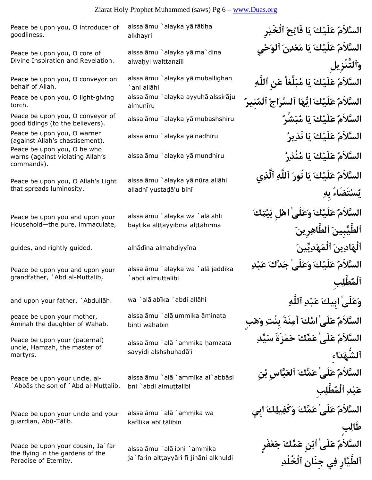Peace be upon you, O introducer of goodliness.

Peace be upon you, O core of Divine Inspiration and Revelation.

Peace be upon you, O conveyor on behalf of Allah.

Peace be upon you, O light-giving torch.

good tidings (to the believers).

(against Allah's chastisement). warns (against violating Allah's commands).

Peace be upon you, O Allah's Light that spreads luminosity.

Peace be upon you and upon your Household—the pure, immaculate,

Peace be upon you and upon your grandfather, `Abd al-Muttalib,

peace be upon your mother, Aminah the daughter of Wahab.

Peace be upon your (paternal) uncle, Hamzah, the master of martyrs.

Peace be upon your uncle, al- Abbas the son of `Abd al-Muttalib.

Peace be upon your uncle and your guardian, Abū-Țālib.

Peace be upon your cousin, Ja`far the flying in the gardens of the Paradise of Eternity.

alssalāmu `alayka yā fātiḥa alkhayri

alssalāmu `alayka yā ma`dina alwahyi walttanzīli

alssalāmu `alayka yā muballighan `ani allāhi alssalāmu `alayka ayyuhā alssirāju almunīru

alssalāmu `alayka yā nūra allāhi alladhī yustadā'u bihī

alssalāmu `alayka wa `alā ahli baytika alttayyibīna alttāhirīna

alssalāmu `alayka wa `alā jaddika `abdi almuttalibi

alssalāmu `alā ummika āminata binti wahabin

alssalāmu `alā `ammika hamzata sayyidi alshshuhadā'i

alssalāmu `alā `ammika al`abbāsi bni `abdi almuttalibi

alssalāmu `alā `ammika wa kafīlika abī tālibin

alssalāmu `alā ibni `ammika ja`farin alttayyāri fī jināni alkhuldi

 **السَّلاَمُ عَلَيْكَ يَا فَاتِحَ ٱلْخَيْرِ السَّلاَمُ عَلَيْكَ يَا مَعْدِنَ ٱلوَحْيِ وَٱلتَّنْزِيلِ السَّلاَمُ عَلَيْكَ يَا مُبَلِّغاً عَنِ ٱللَّهِ السَّلاَمُ عَلَيْكَ ايُّهَا ٱلسِّرَاجُ ٱلْمُنِيرُ** alssal¡mu `alayka y¡ mubashshiru **ُشِّرَبُم اَي َكْلَيَع ُالسَّلاَم** Peace be upon you, O conveyor of alssal¡mu `alayka y¡ nadh¢ru **ُيرِنَذ اَي َكْلَيَع ُالسَّلاَم** Peace be upon you, O warner alssal¡mu `alayka y¡ mundhiru **ُرِنْذُم اَي َكْلَيَع ُالسَّلاَم** Peace be upon you, O he who **السَّلاَمُ عَلَيْكَ يَا نُورَ ٱللَّهِ ٱلَّذِي يُسْتَضَاءُ بِهِ السَّلاَمُ عَلَيْكَ وَعَلَىٰ اهْلِ بَيْتِكَ ٱلطَّيِّبِينَ ٱلطَّاهِرِينَ** guides, and rightly guided. alh¡d¢na almahdiyy¢na **َيِّينِدْهَٱلْم َينِادَٱلْه السَّلاَمُ عَلَيْكَ وَعَلَىٰ جَدِّكَ عَبْدِ ٱلْمُطَّلِبِ** wa `al¡ **ِٱللَّه ِدْبَع َبِيكا ٰلَىَعَو** and upon your father, `Abdull¡h. ab¢ka `abdi all¡hi **السَّلاَمُ عَلَىٰ امِّكَ آمِنَةَ بِنْتِ وَهَبٍ السَّلاَمُ عَلَىٰ عَمِّكَ حَمْزَةَ سَيِّدِ ٱلشُّهَدَاءِ السَّلاَمُ عَلَىٰ عَمِّكَ ٱلعَبَّاسِ بْنِ عَبْدِ ٱلْمُطَّلِبِ السَّلاَمُ عَلَىٰ عَمِّكَ وَكَفِيلِكَ ابِي طَالِبٍ السَّلاَمُ عَلَىٰ ٱبْنِ عَمِّكَ جَعْفَرٍ ٱلطَّيَّارِ فِي جِنَانِ ٱلْخُلْدِ**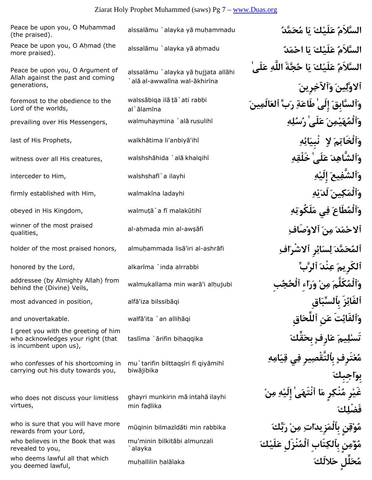# Ziarat Holy Prophet Muhammed (saws) Pg 7 – www.Duas.org

| Peace be upon you, O Muhammad<br>(the praised).                                                     | alssalāmu `alayka yā muhammadu                                      | السَّلاَمُ عَلَيْكَ يَا مُحَمَّدُ                                          |
|-----------------------------------------------------------------------------------------------------|---------------------------------------------------------------------|----------------------------------------------------------------------------|
| Peace be upon you, O Ahmad (the<br>more praised).                                                   | alssalāmu `alayka yā aḥmadu                                         | السَّلاَمُ عَلَيْكَ يَا احْمَدُ                                            |
| Peace be upon you, O Argument of<br>Allah against the past and coming<br>generations,               | alssalāmu `alayka yā hujjata allāhi<br>alā al-awwalīna wal-ākhirīna | السَّلاَمُ عَلَيْكَ يَا حُجَّةَ اللَّهِ عَلَىٰ<br>ٱلاوَّلِينَ وَٱلآخِرِينَ |
| foremost to the obedience to the<br>Lord of the worlds,                                             | walssābiga ilā tā`ati rabbi<br>al`ālamīna                           | وَٱلسَّابِقَ إِلَىٰ طَاعَةِ رَبِّ ٱلعَالَمِينَ                             |
| prevailing over His Messengers,                                                                     | walmuhaymina `alā rusulihī                                          | وَٱلْمُهَيْمِنَ عَلَىٰ رُسُلِهِ                                            |
| last of His Prophets,                                                                               | walkhātima li'anbiyā'ihī                                            | وَٱلْخَاتِمَ لِا ۖ نُبِيَائِهِ                                             |
| witness over all His creatures,                                                                     | walshshāhida `alā khalqihī                                          | وَٱلشَّاهِدَ عَلَىٰ خَلْقِهِ                                               |
| interceder to Him,                                                                                  | walshshafi`a ilayhi                                                 | وَٱلشَّفِيعَ إِلَيْهِ                                                      |
| firmly established with Him,                                                                        | walmakīna ladayhi                                                   | وَٱلْمَكِينَ لَدَيْهِ                                                      |
| obeyed in His Kingdom,                                                                              | walmuță `a fī malakūtihī                                            | وَٱلْمُطَاعَ فِي مَلَكُوتِهِ                                               |
| winner of the most praised<br>qualities,                                                            | al-aḥmada min al-awṣāfi                                             | ألاحْمَدَ مِنَ ٱلاوْصَافِ                                                  |
| holder of the most praised honors,                                                                  | almuhammada lisā'iri al-ashrāfi                                     | ٱلمُحَمَّدَ لِسَائِرِ ٱلاشْرَافِ                                           |
| honored by the Lord,                                                                                | alkarīma `inda alrrabbi                                             | ٱلكَرِيمَ عِنْدَ ٱلرَّبِّ                                                  |
| addressee (by Almighty Allah) from<br>behind the (Divine) Veils,                                    | walmukallama min warā'i alhujubi                                    | وَٱلْمُكَلِّمَ مِنْ وَرَاء ٱلْحُ                                           |
| most advanced in position,                                                                          | alfā'iza bilssibāqi                                                 | ٱلفَائِزَ بِالسَبَاقِ                                                      |
| and unovertakable.                                                                                  | walfā'ita `an allihāqi                                              | وَٱلفَائِتَ عَنِ ٱللِّحَاقِ                                                |
| I greet you with the greeting of him<br>who acknowledges your right (that<br>is incumbent upon us), | taslīma `ārifin bihaqqika                                           | ّيمَ عَارفٍ بحَقِّكَ                                                       |
| who confesses of his shortcoming in<br>carrying out his duty towards you,                           | mu`tarifin bilttaqşīri fī qiyāmihī<br>biwājibika                    | ِفٍ بِالتقصِيرِ فِي قِيَامِهِ                                              |
| who does not discuss your limitless<br>virtues,                                                     | ghayri munkirin mā intahā ilayhi<br>min fadlika                     | غَيْرِ مُنْكِرٍ مَا ٱنْتَهَىٰ إِلَيْهِ مِنْ                                |
| who is sure that you will have more<br>rewards from your Lord,                                      | mūqinin bilmazīdāti min rabbika                                     | مُوْقِنِ بِٱلْمَزِيدَاتِ مِنْ رَبِّكَ                                      |
| who believes in the Book that was<br>revealed to you,                                               | mu'minin bilkitābi almunzali<br>`alayka                             | مُؤْمِنِ بِٱلكِتَابِ ٱلْمُنْزَلِ عَلَيْكَ                                  |
| who deems lawful all that which<br>you deemed lawful,                                               | muhallilin halalaka                                                 | مُحَلِّل حَلالَكَ                                                          |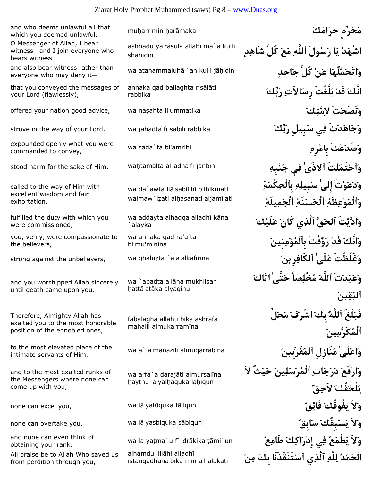mu¦arrimin ¦ar¡maka **َكَامَرَح رِّمٍَحُم** and who deems unlawful all that which you deemed unlawful. O Messenger of Allah, I bear

witness—and I join everyone who bears witness

everyone who may deny it—

that you conveyed the messages of your Lord (flawlessly),

commanded to convey,

called to the way of Him with excellent wisdom and fair exhortation,

fulfilled the duty with which you were commissioned,

you, verily, were compassionate to the believers,

and you worshipped Allah sincerely until death came upon you.

Therefore, Almighty Allah has exalted you to the most honorable position of the ennobled ones,

intimate servants of Him,

and to the most exalted ranks of the Messengers where none can come up with you,

obtaining your rank.

All praise be to Allah Who saved us from perdition through you,

ashhadu yā rasūla allāhi ma`a kulli shāhidin

annaka gad ballaghta risālāti rabbika

wa da`awta ilā sabīlihī bilhikmati walmaw`izati alhasanati aljamīlati

wa addayta alhaqqa alladhī kāna `alayka

wa annaka qad ra'ufta bilmu'minīna

wa `abadta allāha mukhlisan hattā atāka alyagīnu

fabalagha allāhu bika ashrafa mahalli almukarramīna

wa arfa`a darajāti almursalīna haythu lā yalhaquka lāhiqun

alhamdu lillāhi alladhī istangadhanā bika min alhalakati

 **اشْهَدُ يَا رَسُولَ ٱللَّهِ مَعَ كُلِّ شَاهِدٍ** and also bear witness rather than wa ataḥammaluhā `an kulli jāḥidin **وَا تَحَمَّلُهَا عَنْ كُلِّ جَاحِدِ انَّكَ قَدْ بَلَّغْتَ رِسَالاَتِ رَبِّكَ** offered your nation good advice, wa na¥a¦ta li'ummatika **َكِمَّتِلا تَْنَصَحَو** strove in the way of your Lord, wa j¡hadta f¢ sab¢li rabbika **َبِّكَر بِيلَِس يِف تَْدَاهَجَو** expounded openly what you were wa sada`ta bi'amrihī **where we are well as an open to convey,**<br>commanded to convey, wa¦tamalta al-adh¡ **ِنْبِهَج يِف ٰذَىٱلا لْتََتَمْٱحَو** stood harm for the sake of Him, f¢ janbih¢ **وَدَعَوْتَ إِلَىٰ سَبِيلِهِ بِٱلْحِكْمَةِ وَٱلْمَوْعِظَةِ ٱلْحَسَنَةِ ٱلْجَمِيلَةِ وَادَّيْتَ ٱلحَقَّ ٱلَّذِي كَانَ عَلَيْكَ وَانَّكَ قَدْ رَؤُفْتَ بِٱلْمُؤْمِنِينَ** strong against the unbelievers, wa ghalu¨ta `al¡ alk¡fir¢na **َرِينِٱلكَاف ٰلَىَع غَلُظْتََو وَعَبَدْتَ ٱللَّهَ مُخْلِصاً حَتَّىٰ اتَاكَ ٱليَقِينُ فَبَلَغَ ٱللَّهُ بِكَ اشْرَفَ مَحَلِّ ٱلْمُكَرَّمِينَ** wa a`l¡ man¡zili almuqarrab¢na **َقَرَّبِينُٱلْم نَازِلَِم ٰلَىْعاَو** to the most elevated place of the **وَارْفَعَ دَرَجَاتِ ٱلْمُرْسَلِينَ حَيْثُ لاَ يَلْحَقُكَ لاَحِقٌ** none can excel you, wa l¡ yaf£quka f¡'iqun **ٌقِفَائ َيفُوقُك لاََو** none can overtake you, wa l¡ yasbiquka s¡biqun **ٌابِقَس َبِقُكْسَي لاََو** wa la ya§ma`u f¢ idr¡kika §¡mi`un **ٌعِطَام َكِاكَرْإِد يِف ُعَطْمَي لاََو** and none can even think of **الْحَمْدُ لِلَّهِ ٱلَّذِي ٱسْتَنْقَذَنَا بِكَ مِنَ**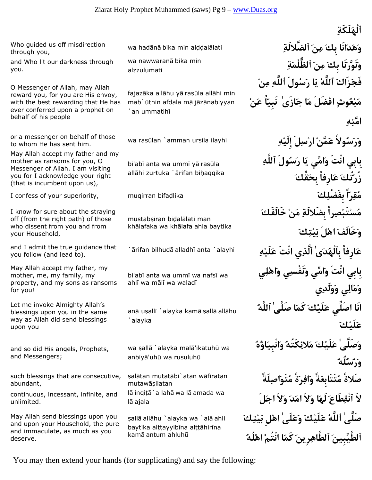through you,

and Who lit our darkness through you.

O Messenger of Allah, may Allah reward you, for you are His envoy, with the best rewarding that He has ever conferred upon a prophet on behalf of his people

to whom He has sent him.

May Allah accept my father and my mother as ransoms for you, O Messenger of Allah. I am visiting you for I acknowledge your right (that is incumbent upon us),

I know for sure about the straying off (from the right path) of those who dissent from you and from your Household,

and I admit the true guidance that you follow (and lead to).

May Allah accept my father, my mother, me, my family, my property, and my sons as ransoms for you!

Let me invoke Almighty Allah's blessings upon you in the same way as Allah did send blessings upon you

and so did His angels, Prophets, and Messengers;

such blessings that are consecutive, abundant,

continuous, incessant, infinite, and unlimited.

May Allah send blessings upon you and upon your Household, the pure and immaculate, as much as you deserve.

wa nawwarana bika min alzzulumati

fajazāka allāhu yā rasūla allāhi min mab`ūthin afdala mā jāzānabiyyan `an ummatih¢

bi'abī anta wa ummī yā rasūla allāhi zurtuka `ārifan bihaqqika

mustabsiran bidalālati man khālafaka wa khālafa ahla baytika

bi'abī anta wa ummī wa nafsī wa ahlī wa mālī wa waladī

anā uşallī `alayka kamā şallā allāhu `alayka

wa şallā `alayka malā'ikatuhū wa anbiyā'uhū wa rusuluhū

salātan mutatābi`atan wāfiratan mutawāsilatan lā inqițā`a lahā wa lā amada wa lā ajala

şallā allāhu `alayka wa `alā ahli baytika alttayyibīna alttāhirīna kamā antum ahluhū

**ٱلْهَلَكَةِ** wa had¡n¡ bika min al¤¤al¡lati **ِٱلضَّلالَة َنِم َبِك انَاَدَهَو** Who guided us off misdirection **وَنَوَّرَنَا بِكَ مِنَ ٱلظُّلْمَةِ فَجَزَاكَ ٱللَّهُ يَا رَسُولَ ٱللَّهِ مِنْ مَبْعُوثٍ افْضَلَ مَا جَازَىٰ نَبِيّاً عَنْ امَّتِهِ** wa ras£lan `amman ursila ilayhi **ِهْإِلَي لَِسْار ْمَّنَع ولاًُسَرَو** or a messenger on behalf of those **بِابِي انْتَ وَامِّي يَا رَسُولَ ٱللَّهِ زُرْتُكَ عَارِفاً بِحَقِّكَ** I confess of your superiority, muqirran bifa¤lika **َكِبِفَضْل اًّرِقُم مُسْتَبْصِراً بِضَلالَةِ مَنْ خَالَفَكَ وَخَالَفَ اهْلَ بَيْتِكَ عَارِفاً بِٱلْهُدَىٰ ٱلَّذِي انْتَ عَلَيْهِ** alayhi `anta ¢alladh¡ bilhud rifan`¡ **بِابِي انْتَ وَامِّي وَنَفْسِي وَاهْلِي وَمَالِي وَوَلَدِي انَا اصَلِّي عَلَيْكَ كَمَا صَلَّىٰ ٱللَّهُ عَلَيْكَ وَصَلَّىٰ عَلَيْكَ مَلائِكَتُهُ وَانْبِيَاؤُهُ وَرُسُلُهُ صَلاةً مُتَتَابِعَةً وَافِرَةً مُتَوَاصِلَةً لاَ ٱنْقِطَاعَ لَهَا وَلاَ امَدَ وَلاَ اجَلَ صَلَّىٰ ٱللَّهُ عَلَيْكَ وَعَلَىٰ اهْلِ بَيْتِكَ ٱلطَّيِّبِينَ ٱلطَّاهِرِينَ كَمَا انْتُمْ اهْلُهُ**

You may then extend your hands (for supplicating) and say the following: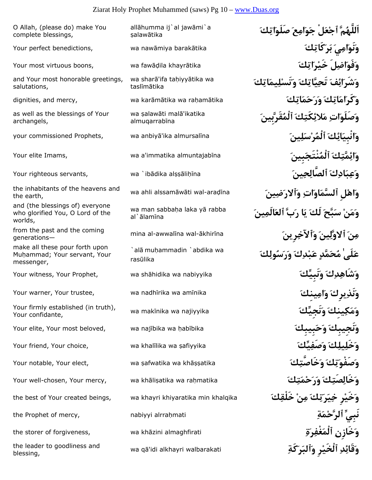#### Ziarat Holy Prophet Muhammed (saws) Pg 10 – www.Duas.org

O Allah, (please do) make You complete blessings,

and Your most honorable greetings, salutations,

as well as the blessings of Your archangels,

wa ahli alssam¡w¡ti wal-ara¤¢na **َينِضَرٱلاَو ِاتَاوَٱلسَّم لِْهاَو** the inhabitants of the heavens and the earth,

and (the blessings of) everyone who glorified You, O Lord of the worlds,

generations—

make all these pour forth upon Muhammad; Your servant, Your messenger,

wa mak¢nika wa najiyyika **َنَجِيِّكَو َينِكِكَمَو** Your firmly established (in truth), Your confidante,

Your elite, Your most beloved, wa najibika wa habibika

wa q¡'idi alkhayri walbarakati **ِكَةَرَٱلبَو رِْٱلْخَي ِدِقَائَو** the leader to goodliness and blessing,

allāhumma ij`al jawāmi`a salawātika **وَنَوَامِيَ بَرَكَاتِكَ** tika¡barak miya¡naw wa ,benedictions perfect Your Your most virtuous boons, wa fawāḍila khayrātika **in khayrātika** boons, wa fawāḍila khayrātika in khayrātika boon wa sharā'ifa tahiyyātika wa taslīmātika **وَكَرَامَاتِكَ وَرَحَمَاتِكَ** tika¡am¦ra wa tika¡m¡kar wa ,mercy and ,dignities wa salawāti malā'ikatika almuqarrabīna **وَائِكَ ٱلْمُرْسَلِينَ** ﴾ your commissioned Prophets, wa anbiyā'ika almursalīna **وَائِمَّتِكَ ٱلْمُنْتَجَبِينَ** na¢almuntajab immatika'a wa ,Imams elite Your Your righteous servants, wa `ib¡dika al¥¥¡li¦¢na **َينِحِٱلصَّال َكِادَبِعَو** wa man sabbaha laka ya rabba al`ālamīna mina al-awwal¢na wal-¡khir¢na **َرِينِٱلآخَو َينِوَّلٱلا َنِم** from the past and the coming `alā muḥammadin `abdika wa rasūlika Your witness, Your Prophet, wa sh¡hidika wa nabiyyika **َنَبِيِّكَو َكِدِشَاهَو** Your warner, Your trustee, wa nadh¢rika wa am¢nika **َينِكِماَو َيرِكِنَذَو** Your friend, Your choice, wa khal¢lika wa ¥afiyyika **َيِّكِصَفَو َكِيلِخَلَو** Your notable, Your elect, wa ¥afwatika wa kh¡¥¥atika **َكِخَاصَّتَو َكِتَصَفْوَو** Your well-chosen, Your mercy, wa kh¡li¥atika wa ra¦matika **َكِتَمْحَرَو َكِصَتِخَالَو وَخَيْرِ خِيَرَتِكَ مِنْ خَلْقِكَ** khalqika min khiyaratika khayri wa ,beings created Your of best the the Prophet of mercy, nabiyyi alrra¦mati **ِةَمْٱلرَّح نَبِيِّ** the storer of forgiveness, wa kh¡zini almaghfirati **ِةَرِغْفَٱلْم ِخَازِنَو**

 **اَللَّهُمَّ ٱجْعَلْ جَوَامِعَ صَلَوَاتِكَ وَشَرَائِفَ تَحِيَّاتِكَ وَتَسْلِيمَاتِكَ وَصَلَوَاتِ مَلائِكَتِكَ ٱلْمُقَرَّبِينَ وَمَنْ سَبَّحَ لَكَ يَا رَبَّ ٱلعَالَمِينَ** `**عَلَىٰ مُحَمَّدٍ عَبْدِكَ وَرَسُولِكَ**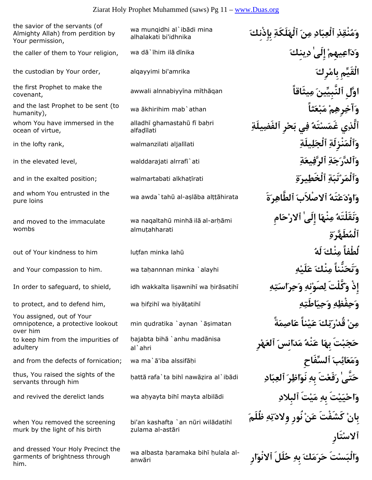| the savior of the servants (of<br>Almighty Allah) from perdition by<br>Your permission, | wa munqidhi al`ibādi mina<br>alhalakati bi'idhnika     |
|-----------------------------------------------------------------------------------------|--------------------------------------------------------|
| the caller of them to Your religion,                                                    | wa dā`īhim ilā dīnika                                  |
| the custodian by Your order,                                                            | alqayyimi bi'amrika                                    |
| the first Prophet to make the<br>covenant,                                              | awwali alnnabiyyīna mīthāqan                           |
| and the last Prophet to be sent (to<br>humanity),                                       | wa ākhirihim mab`athan                                 |
| whom You have immersed in the<br>ocean of virtue,                                       | alladhī ghamastahū fī baḥri<br>alfadīlati              |
| in the lofty rank,                                                                      | walmanzilati aljalīlati                                |
| in the elevated level,                                                                  | walddarajati alrrafi`ati                               |
| and in the exalted position;                                                            | walmartabati alkhatīrati                               |
| and whom You entrusted in the<br>pure loins                                             | wa awda`tahū al-așlāba alțțāhirata                     |
| and moved to the immaculate<br>wombs                                                    | wa naqaltahū minhā ilā al-arhāmi<br>almuțahharati      |
| out of Your kindness to him                                                             | lutfan minka lahū                                      |
| and Your compassion to him.                                                             | wa tahannnan minka `alayhi                             |
| In order to safeguard, to shield,                                                       | idh wakkalta lişawnihī wa hirāsatihī                   |
| to protect, and to defend him,                                                          | wa hifzihi wa hiyatatihi                               |
| You assigned, out of Your<br>omnipotence, a protective lookout<br>over him              | min qudratika `aynan `āṣimatan                         |
| to keep him from the impurities of<br>adultery                                          | hajabta bihā `anhu madānisa<br>al`ahri                 |
| and from the defects of fornication;                                                    | wa ma`ā'iba alssifāḥi                                  |
| thus, You raised the sights of the<br>servants through him                              | hattā rafa`ta bihī nawāzira al`ibādi                   |
| and revived the derelict lands                                                          | wa ahyayta bihi mayta albilādi                         |
| when You removed the screening<br>murk by the light of his birth                        | bi'an kashafta `an nūri wilādatihī<br>zulama al-astāri |
| and dressed Your Holy Precinct the<br>garments of brightness through<br>him.            | wa albasta haramaka bihi hulala al-<br>anwāri          |

 **وَمُنْقِذِ ٱلْعِبَادِ مِنَ ٱلْهَلَكَةِ بِإِذْنِكَ** the caller of them to Your religion, wa d¡`¢him il¡ d¢nika **َينِكِد ٰإِلَى ْيهِمِاعَدَو** alqayyimi bi'amrika **َرِكْمبِا الْقَيِّمِ** the custodian by Your order, awwali alnnabiyy¢na m¢th¡qan **يثَاقاًِم َٱلنَّبِيِّين وَّلِا** the first Prophet to make the wa ¡khirihim mab`athan **ثاًَعْبَم ْمِرِهِآخَو** and the last Prophet to be sent (to **ٱلَّذِي غَمَسْتَهُ فِي بَحْرِ ٱلفَضِيلَةِ** in the lofty rank, walmanzilati aljal¢lati **ِيلَةِلَٱلْج ِنْزِلَةَٱلْمَو وَٱلدَّرَجَةِ ٱلرَّفِيعَةِ** ati`¢alrraf walddarajati ,level elevated the in **وَٱلْمَرْتَبَةِ ٱلْخَطِيرَةِ** rati¢§alkha walmartabati; position exalted the in and wa awda`tah£ al-a¥l¡ba al§§¡hirata **ةََرِٱلطَّاه َصْلاَبٱلا ُتَهْعَدْواَو** and whom You entrusted in the **وَنَقَلْتَهُ مِنْهَا إِلَىٰ ٱلارْحَامِ ٱلْمُطَهَّرَةِ** out of Your kindness to him lu§fan minka lah£ **ُلَه َنْكِم لُطْفاً** and Your compassion to him. wa ta¦annnan minka `alayhi **ِهْلَيَع َنْكِم نُّناًَتَحَو** In order to safeguard, to shield, idh wakkalta li¥awnih¢ wa ¦ir¡satih¢ **ِهِتَاسَرِحَو ِنِهْصَوِل كَّلْتََو إِذْ** to protect, and to defend him, wa ¦if¨ih¢ wa ¦iy¡§atih¢ **ِهِاطَتَيِحَو ِهِفْظِحَو مِنْ قُدْرَتِكَ عَيْناً عَاصِمَةً** imatan¥ `¡aynan `qudratika min ¦**حَجَبْتَ بِهَا عَنْهُ مَدَانِسَ ٱلعَهْرِ** and from the defects of fornication; wa ma`¡'iba alssif¡¦i **ٱلسِّفَاحِ َبِائَعَمَو** ¦att¡ rafa`ta bih¢ naw¡¨ira al`ib¡di **ِادَبِٱلع َرِاظَنَو ِبِه تَْفَعَر ٰتَّىَح** thus, You raised the sights of the and revived the derelict lands wa a¦yayta bih¢ mayta albil¡di **ِٱلبِلاد تَْيَم ِبِه تَْيَيْحاَو بِانْ كَشَفْتَ عَنْ نُورِ وِلادَتِهِ ظُلَمَ ٱلاسْتَارِ وَالْبَسْتَ حَرَمَكَ بِهِ حُلَلَ ٱلانْوَارِ**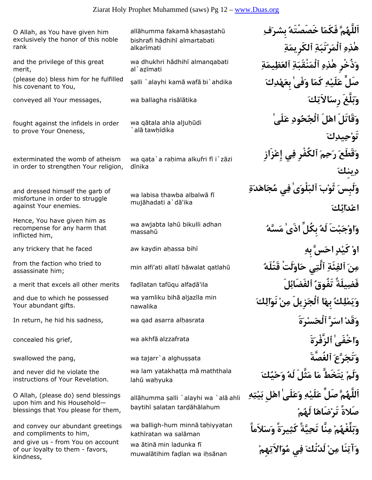O Allah, as You have given him exclusively the honor of this noble rank and the privilege of this great merit, ¥alli `alayhi kam¡ waf¡ bi`ahdika **َكِدْهَبِع ٰفَىَو اَكَم ِهْلَيَع صَلِّ**) please do) bless him for he fulfilled his covenant to You, conveyed all Your messages, wa ballagha ris¡l¡tika **َكِالاَتَرِس لَّغََبَو** fought against the infidels in order to prove Your Oneness, exterminated the womb of atheism in order to strengthen Your religion, and dressed himself the garb of misfortune in order to struggle against Your enemies. Hence, You have given him as recompense for any harm that inflicted him, any trickery that he faced aw kaydin a¦assa bih¢ **ِبِه سََّحا ٍدْكَي ْوا** min alfi'ati allat¢ ¦¡walat qatlah£ **ُقَتْلَه لَتَْاوَح يِٱلَّت ِئَةِٱلف َنِم** from the faction who tried to assassinate him; a merit that excels all other merits faḍīlatan tafūqu alfaḍā'ila **فَضِيلَةً تَفُوق**ُ ٱل**فَضَائِلَ** and due to which he possessed Your abundant gifts. In return, he hid his sadness, wa qad asarra al¦asrata **ةََرْسَٱلْح رََّسا ْقَدَو** wa akhf¡ **ةََٱلزَّفْر ٰخْفَىاَو** concealed his grief, alzzafrata swallowed the pang, wa tajarr`a alghu¥¥ata **ٱلغُصَّةَ َرَّعَتَجَو** and never did he violate the instructions of Your Revelation. O Allah, (please do) send blessings upon him and his Household blessings that You please for them, and convey our abundant greetings and compliments to him, and give us - from You on account of our loyalty to them - favors,

kindness,

allāhumma fakamā khasastahū bishrafi hādhihī almartabati alkarīmati

wa dhukhri hādhihī almanqabati al`azīmati

wa qātala ahla aljuhūdi  $\hat{a}$ alā tawhīdika

wa qata`a rahima alkufri fi i`zāzi dīnika

wa labisa thawba albalwa fi mujāhadati a`dā'ika

wa awjabta lahū bikulli adhan massahū

wa yamliku biha aljazila min nawalika

wa lam yatakhatta ma maththala lahū wahyuka

allāhumma şalli `alayhi wa `alā ahli baytihī şalatan tardāhālahum

wa balligh-hum minnā tahiyyatan kathīratan wa salāman wa ātinā min ladunka fī muwalātihim fadlan wa ihsānan

**اَللَّهُمَّ فَكَمَا خَصَصْتَهُ بِشرَفِ هٰذِهِ ٱلْمَرْتَبَةِ ٱلكَرِيمَةِ وَذُخْرِ هٰذِهِ ٱلْمَنْقَبَةِ ٱلعَظِيمَةِ وَقَاتَلَ اهْلَ ٱلْجُحُودِ عَلَىٰ تَوْحِيدِكَ وَقَطَعَ رَحِمَ ٱلكُفْرِ فِي إِعْزَازِ دِينِكَ وَلَبِسَ ثَوْبَ ٱلبَلْوَىٰ فِي مُجَاهَدَةِ اعْدَائِكَ وَاوْجَبْتَ لَهُ بِكُلِّ اذَىٰ مَسَّهُ وَيَمْلِكُ بِهَا ٱلْجَزِيلَ مِنْ نَوَالِكَ وَلَمْ يَتَخَطَّ مَا مَثَّلَ لَهُ وَحْيُكَ اَللَّهُمَّ صَلِّ عَلَيْهِ وَعَلَىٰ اهْلِ بَيْتِهِ صَلاةً تَرْضَاهَا لَهُمْ وَبَلِّغْهُمْ مِنَّا تَحِيَّةً كَثِيرَةً وَسَلاَماً وَآتِنَا مِنْ لَدُنْكَ فِي مُوَالاَتِهِمْ**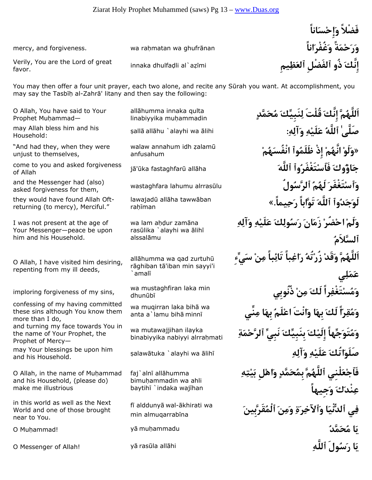innaka dhulfa¤li al`a¨¢mi **يمِِظَٱلع ٱلفَضْلِ ذُو َإِنَّك** Verily, You are the Lord of great favor.

You may then offer a four unit prayer, each two alone, and recite any Sūrah you want. At accomplishment, you may say the Tasbih al-Zahrā' litany and then say the following:

O Allah, You have said to Your Prophet Muhammad-

Household:

"And had they, when they were unjust to themselves,

of Allah

asked forgiveness for them,

they would have found Allah Oftreturning (to mercy), Merciful."

I was not present at the age of Your Messenger—peace be upon him and his Household.

O Allah, I have visited him desiring, repenting from my ill deeds,

imploring forgiveness of my sins, we must

confessing of my having committed these sins although You know them more than I do, and turning my face towards You in the name of Your Prophet, the Prophet of Mercy—

and his Household.

O Allah, in the name of Muhammad and his Household, (please do) make me illustrious

in this world as well as the Next World and one of those brought near to You.

allāhumma innaka gulta linabiyyika muhammadin

anfusahum

lawajadū allāha tawwāban rahīman

wa lam ahdur zamāna rasūlika `alayhi wa ālihī alssalāmu

allāhumma wa qad zurtuhū rāghiban tā'iban min sayyi'i `amal¢

wa mustaghfiran laka min

wa mugirran laka biha wa anta a`lamu bihā minnī

wa mutawajjihan ilayka binabiyyika nabiyyi alrrahmati

faj`alnī allāhumma bimu¦ammadin wa ahli baytihī `indaka wajīhan

fi alddunyā wal-ākhirati wa min almuqarrabīna

**فَضْلاً وَإِحْسَاناً** mercy, and forgiveness. wa raḥmatan wa ghufrānan **انترنت التابعية بِهِ انتشار ال**عَمْلَةَ **وَغُفْرَ اناً** 

 **اَللَّهُمَّ إِنَّكَ قُلْتَ لِنَبِيِّكَ مُحَمَّدٍ** ¥all¡ all¡hu `alayhi wa ¡lihi **:ِهِآلَو ِهْلَيَع ُٱللَّه ٰصَلَّى** may Allah bless him and his £alam ¨idh annahum walaw**» وَلَوْ انَّهُمْ إِذْ ظَلَمُوٱ انْفُسَهُمْ** j¡'£ka fastaghfar£ all¡ha **َٱللَّه وٱُتَغْفَرْفَٱس َوكُاؤَج** come to you and asked forgiveness and the Messenger had (also) wastaghfara lahumu alrrasūlu **وَٱسْتَغْفَرَ لَهُمُ ٱلرَّسُولُ لَوَجَدُوٱ ٱللَّهَ تَوَّاباً رَحِيماً.» وَلَمْ احْضُرْ زَمَانَ رَسُولِكَ عَلَيْهِ وَآلِهِ ٱلسَّلاَمُ اَللَّهُمَّ وَقَدْ زُرْتُهُ رَاغِباً تَائِباً مِنْ سَيِّءِ عَمَلِي وَمُسْتَغْفِراً لَكَ مِنْ ذُنُوبِي وَمُقِرّاً لَكَ بِهَا وَانْتَ اعْلَمُ بِهَا مِنِّي وَمُتَوَجِّهاً إِلَيْكَ بِنَبِيِّكَ نَبِيِّ ٱلرَّحْمَةِ** ¥alaw¡tuka `alayhi wa ¡lih¢ **ِهِآلَو ِهْلَيَع َاتُكَصَلَو** may Your blessings be upon him **فَٱجْعَلْنِي ٱللَّهُمَّ بِمُحَمَّدٍ وَاهْلِ بَيْتِهِ عِنْدَكَ وَجِيهاً فِي ٱلدُّنْيَا وَٱلآخِرَةِ وَمِنَ ٱلْمُقَرَّبِينَ** O Mu¦ammad! y¡ mu¦ammadu **ُمَّدَحُم اَي**

O Messenger of Allah! y¡ ras£la all¡hi **ِٱللَّه ولَُسَر اَي**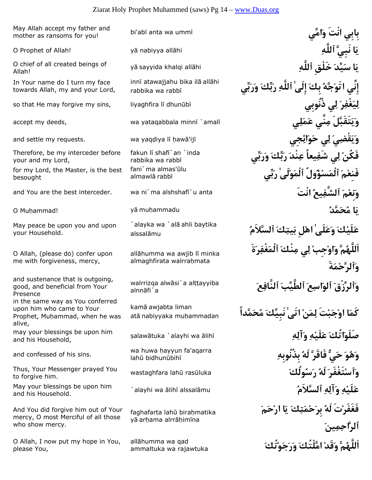### Ziarat Holy Prophet Muhammed (saws) Pg 14 – www.Duas.org

bi'ab¢ anta wa umm¢ **امِّيَو نْتَا بِيبِا** May Allah accept my father and mother as ransoms for you!

Allah!

In Your name do I turn my face towards Allah, my and your Lord,

Therefore, be my interceder before your and my Lord,

for my Lord, the Master, is the best besought

May peace be upon you and upon your Household.

O Allah, (please do) confer upon me with forgiveness, mercy,

and sustenance that is outgoing, good, and beneficial from Your Presence in the same way as You conferred

upon him who came to Your Prophet, Muhammad, when he was alive,

and his Household,

and confessed of his sins.<br>Iahū bidhunūbihī

to forgive him.

and his Household.

And You did forgive him out of Your mercy, O most Merciful of all those who show mercy.

O Allah, I now put my hope in You, please You,

innī atawajjahu bika ilā allāhi rabbika wa rabbī

fakun lī shafī`an`inda rabbika wa rabbī fani`ma almas'ūlu almawlā rabbī

`alayka wa `alā ahli baytika alssalāmu

allāhumma wa awjib lī minka almaghfirata walrrahmata

walrrizga alwāsi`a alttayyiba alnnāfi`a

kamā awjabta liman atā nabiyyaka muhammadan

wa huwa hayyun fa'agarra

faghafarta lahū birahmatika yā arhama alrrāhimīna

allāhumma wa gad ammaltuka wa rajawtuka

O Prophet of Allah! y¡ nabiyya all¡hi **ِٱللَّه نَبِيَّ اَي** y¡ sayyida khalqi all¡hi **ِٱللَّه خَلْقِ َيِّدَس اَي** O chief of all created beings of **إِنِّي اتَوَجَّهُ بِكَ إِلَىٰ ٱللَّهِ رَبِّكَ وَرَبِّي** so that He may forgive my sins, liyaghfira l¢ dhun£b¢ **ذُنُوبِي يِل َرِغْفَيِل وَيَتَقَبَّلَ مِنِّي عَمَلِي** ¢amal `¢minn yataqabbala wa ,deeds my accept **وَيَقْضِيَ لِي حَوَائِجِي** ¢ij¡'aw ¦¢l iya¤yaq wa .requests my settle and **فَكُنْ لِي شَفِيعاً عِنْدَ رَبِّكَ وَرَبِّي فَنِعْمَ ٱلْمَسْؤُولُ ٱلْمَوْلَىٰ رَبِّي** and You are the best interceder. wa ni`ma alshshaf¢`u anta **نْتَا ُيعِٱلشَّف َمْنِعَو** O Mu¦ammad! y¡ mu¦ammadu **ُمَّدَحُم اَي** `**عَلَيْكَ وَعَلَىٰ اهْلِ بَيتِكَ ٱلسَّلاَمُ اَللَّهُمَّ وَاوْجِبْ لِي مِنْكَ ٱلْمَغْفِرَةَ وَٱلرَّحْمَةَ وَٱلرِّزْقَ ٱلوَاسِعَ ٱلطَّيِّبَ ٱلنَّافِعَ كَمَا اوْجَبْتَ لِمَنْ اتَىٰ نَبِيِّكَ مُحَمَّداً** ¥alaw¡tuka `alayhi wa ¡lih¢ **ِهِآلَو ِهْلَيَع َاتُكَصَلَو** may your blessings be upon him **وَهُوَ حَيٌّ فَاقَرَّ لَهُ بِذُنُوبِهِ** wastaghfara lah£ ras£luka **َولُكُسَر ُلَه َتَغْفَرْٱسَو** Thus, Your Messenger prayed You `alayhi wa ¡lih¢ alssal¡mu **ُٱلسَّلاَم ِهِآلَو ِهْلَيَع** May your blessings be upon him **فَغَفَرْتَ لَهُ بِرَحْمَتِكَ يَا ارْحَمَ ٱلرَّاحِمِينَ اَللَّهُمَّ وَقَدْ امَّلْتُكَ وَرَجَوْتُكَ**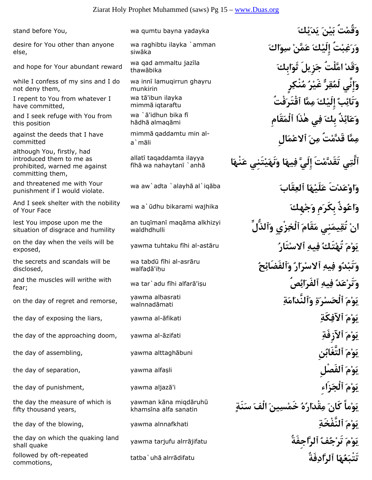desire for You other than anyone else,

and hope for Your abundant reward thawabika

while I confess of my sins and I do not deny them,

I repent to You from whatever I have committed,

and I seek refuge with You from this position

against the deeds that I have committed

although You, firstly, had introduced them to me as prohibited, warned me against committing them,

and threatened me with Your punishment if I would violate.

wa a`£dhu bikarami wajhika **َهِكْجَو مَِبِكَر وذُُعاَو** And I seek shelter with the nobility of Your Face

lest You impose upon me the situation of disgrace and humility

exposed,

the secrets and scandals will be disclosed,

fear;

on the day of regret and remorse, walnnadāmati

the day the measure of which is fifty thousand years,

yawma tarjufu alrr¡jifatu **ٱلرَّاجِفَةُ ُفُجْتَر َمْوَي** the day on which the quaking land shall quake

tatba`uh¡ alrr¡difatu **فَةُِٱلرَّاد اَهُعَتَتْب** followed by oft-repeated commotions,

wa raghibtu ilayka `amman siwāka

wa qad ammaltu jazīla

wa inni lamugirrun ghayru munkirin wa tā'ibun ilavka

mimmā igtaraftu wa `ā'idhun bika fī

hādhā almaqāmi mimmā qaddamtu min al-<br>a`māli

allatī taqaddamta ilayya fīhā wa nahaytanī `anhā

wa aw`adta `alayhā al`iqāba

an tugīmanī magāma alkhizyi waldhdhulli

wa tabdū fīhi al-asrāru walfadā'ihu

yawma alhasrati

yawman kāna miqdāruhū khamsīna alfa sanatin

**وَقُمْتُ بَيْنَ يَدَيْكَ** yadayka bayna qumtu wa ,You before stand **وَرَغِبْتُ إِلَيْكَ عَمَّنْ سِوَاكَ وَقَدْ امَّلْتُ جَزِيلَ ثَوَابِكَ وَإِنِّي لَمُقِرٌّ غَيْرُ مُنْكِرٍ وَتَائِبٌ إِلَيْكَ مِمَّا ٱقْتَرَفْتُ وَعَائِذٌ بِكَ فِي هٰذَا ٱلْمَقَامِ مِمَّا قَدَّمْتُ مِنَ ٱلاعْمَالِ ٱلَّتِي تَقَدَّمْتَ إِلَيَّ فِيهَا وَنَهَيْتَنِي عَنْهَا وَاوْعَدْتَ عَلَيْهَا ٱلعِقَابَ** ¡alayh `adta`aw wa **انْ تُقِيمَنِي مَقَامَ ٱلْخِزْيِ وَٱلذُّلِّ** yawma tuhtaku f¢hi al-ast¡ru **ُتَارْسٱلا ِيهِف ُتَكْتُه َمْوَي** on the day when the veils will be **وَتَبْدُو فِيهِ ٱلاسْرَارُ وَٱلفَضَائِحُ** wa tar`adu f¢hi alfar¡'i¥u **صُِائَٱلفَر ِيهِف ُدَعْتَرَو** and the muscles will writhe with **يَوْمَ ٱلْحَسْرَةِ وَٱلنَّدَامَةِ** the day of exposing the liars, yawma al-āfikati **www.comicality.comical of the day of exposing the liars**, the day of the approaching doom, yawma al-¡zifati **ِٱلآزِفَة َمْوَي** the day of assembling, yawma alttagh¡buni **نُِٱلتَّغَاب َمْوَي** the day of separation, yawma alfa¥li **ٱلفَصْلِ َمْوَي** the day of punishment, yawma aljaz¡'i **ِزَاءَٱلْج َمْوَي يَوْماً كَانَ مِقْدَارُهُ خَمْسِينَ الْفَ سَنَةٍ** the day of the blowing, yawma alnnafkhati **ِٱلنَّفْخَة َمْوَي**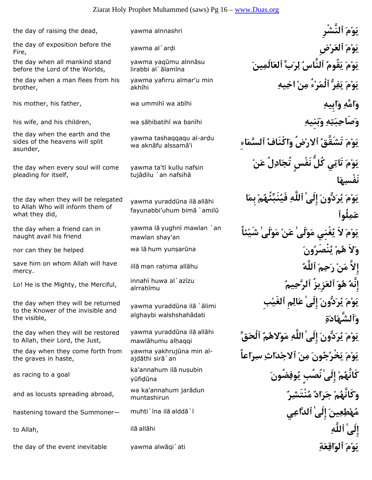### Ziarat Holy Prophet Muhammed (saws) Pg 16 – www.Duas.org

Fire,

the day when all mankind stand before the Lord of the Worlds,

the day when a man flees from his brother,

the day when the earth and the sides of the heavens will split asunder,

the day when every soul will come pleading for itself,

the day when they will be relegated to Allah Who will inform them of what they did,

the day when a friend can in naught avail his friend

mercy.

Lo! He is the Mighty, the Merciful,  $\frac{1}{\text{alrrahimu}}$ 

the day when they will be returned to the Knower of the invisible and the visible,

the day when they will be restored to Allah, their Lord, the Just,

the day when they come forth from the graves in haste,

as racing to a goal<br>yūfidūna

and as locusts spreading abroad, which all muntashirun

the day of the event inevitable yawma alwāqi`ati **ِيَوْمَ ٱلْوَاقِعَة**ِ ۚ لَا يَوْمَ **ٱلْوَاقِعَة**ِ

yawma yaqumu alnnāsu lirabbi al`ālamīna

yawma yafirru almar'u min akhīhi

yawma tashaqqaqu al-ardu wa aknāfu alssamā'i

yawma ta'tī kullu nafsin tujādilu `an nafsihā

yawma yuraddūna ilā allāhi fayunabbi'uhum bimā `amilū

yawma lā yughnī mawlan `an mawlan shay'an

innahī huwa al`azīzu

yawma yuraddūna ilā `ālimi alghaybi walshshahādati

yawma yuraddūna ilā allāhi mawlāhumu alhaqqi

yawma yakhrujūna min al-<br>ajdāthi sirā`an

ka'annahum ilā nusubin

wa ka'annahum jarādun

the day of raising the dead, yawma alnnashri **ٱلنَّشْرِ َمْوَي** yawma al`ar¤i **ضِْرَٱلع َمْوَي** the day of exposition before the **يَوْمَ يَقُومُ ٱلنَّاسُ لِرَبِّ ٱلعَالَمِينَ يَوْمَ يَفِرُّ ٱلْمَرْءُ مِنْ اخِيهِ** his mother, his father, wa ummih¢ wa ab¢hi **ِبِيهاَو ِامِّهَو** his wife, and his children, wa ¥¡¦ibatih¢ wa ban¢hi **ِنِيهَبَو ِهِتَبِصَاحَو يَوْمَ تَشَقَّقُ ٱلارْضُ وَاكْنَافُ ٱلسَّمَاءِ يَوْمَ تَاتِي كُلُّ نَفْسٍ تُجَادِلُ عَنْ نَفْسِهَا يَوْمَ يُرَدُّونَ إِلَىٰ ٱللَّهِ فَيُنَبِّئُهُمْ بِمَا عَمِلُوٱ يَوْمَ لاَ يُغْنِي مَوْلَىٰ عَنْ مَوْلَىٰ شَيْئاً** nor can they be helped wa l¡ hum yun¥ar£na **َونُنْصَرُي ْمُه لاََو** ill¡ man ra¦ima all¡hu **ُٱللَّه َمِحَر ْنَم إِلاَّ** save him on whom Allah will have **إِنَّهُ هُوَ ٱلعَزِيزُ ٱلرَّحِيمُ يَوْمَ يُرَدُّونَ إِلَىٰ عَالِمِ ٱلغَيْبِ وَٱلشَّهَادَةِ يَوْمَ يُرَدُّونَ إِلَىٰ اللَّهِ مَوْلاهُمُ ٱلْحَقِّ يَوْمَ يَخْرُجُونَ مِنَ ٱلاجْدَاثِ سِرَاعاً كَانَّهُمْ إِلَىٰ نُصُبٍ يُوفِضُونَ وَكَانَّهُمْ جَرَادٌ مُنْتَشِرٌ** hastening toward the Summoner— muh§i`¢na il¡ aldd¡`¢ **يِٱلدَّاع ٰإِلَى َينِعِطْهُم** to Allah, il¡ all¡hi **ِٱللَّه ٰإِلَى**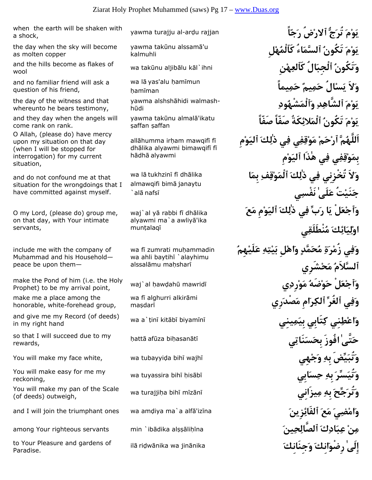yawma turajju al-ar¤u rajjan **اًّجَر ضُْرٱلا جَُّتُر َمْوَي** when the earth will be shaken with a shock,

the day when the sky will become as molten copper

wool

and no familiar friend will ask a question of his friend,

the day of the witness and that whereunto he bears testimony,

and they day when the angels will come rank on rank.

O Allah, (please do) have mercy upon my situation on that day (when I will be stopped for interrogation) for my current situation,

and do not confound me at that situation for the wrongdoings that I have committed against myself.

O my Lord, (please do) group me, on that day, with Your intimate servants,

include me with the company of Muhammad and his Householdpeace be upon them—

waj`al ¦aw¤ah£ mawrid¢ **يِرِدْوَم ُضَهْوَح لَْعْٱجَو** make the Pond of him (i.e. the Holy Prophet) to be my arrival point,

make me a place among the honorable, white-forehead group,

wa a`§in¢ kit¡b¢ biyam¢n¢ **ينِيِمَبِي تَابِيِك نِيِطْعاَو** and give me my Record (of deeds) in my right hand

¦att¡ af£za bi¦asan¡t¢ **يِنَاتَسَبِح فُوزَا ٰتَّىَح** so that I will succeed due to my rewards,

reckoning,

wa turajji¦a bih¢ m¢z¡n¢ **يزَانِيِم ِبِه َجِّحَتُرَو** You will make my pan of the Scale (of deeds) outweigh,

to Your Pleasure and gardens of all a ridwānika wa jinānika **ina karaka karaka karaka karaka karaka k**a ang diti<br>Paradise Paradise.

yawma takūnu alssamā'u kalmuhli

wa lā yas'alu hamīmun hamīman

yawma alshshāhidi walmash-<br>hūdi

vawma takūnu almalā'ikatu saffan saffan

allāhumma irham mawqifī fī dhālika alyawmi bimawqifī fī hādhā alyawmi

wa lā tukhzinī fī dhālika almawqifi bimā janaytu  $\hat{a}$ alā nafsī

waj`al yā rabbi fī dhālika alyawmi ma`a awliyā'ika muntalaqī

wa fi zumrati muhammadin wa ahli baytihi `alayhimu alssalāmu mahsharī

wa fi alghurri alkirāmi masdarī

 **يَوْمَ تَكُونُ ٱلسَّمَاءُ كَٱلْمُهْلِ** and the hills become as flakes of wa takūnu aljibālu kāl`ihni **الَّجِبَالُ كَٱلْعِهْنِيَّ and the hills become as flakes of wa takūnu aljibālu kāl`ihni وَلاَ يَسْالُ حَمِيمٌ حَمِيماً يَوْمَ ٱلشَّاهِدِ وَٱلْمَشْهُودِ يَوْمَ تَكُونُ ٱلْمَلائِكَةُ صَفّاً صَفّاً اَللَّهُمَّ ٱرْحَمْ مَوْقِفِي فِي ذٰلِكَ ٱليَوْمِ بِمَوْقِفِي فِي هٰذَا ٱليَوْمِ وَلاَ تُخْزِنِي فِي ذٰلِكَ ٱلْمَوْقِفِ بِمَا جَنَيْتُ عَلَىٰ نَفْسِي وَٱجْعَلْ يَا رَبِّ فِي ذٰلِكَ ٱليَوْمِ مَعَ اوْلِيَائِكَ مُنْطَلَقِي وَفِي زُمْرَةِ مُحَمَّدٍ وَاهْلِ بَيْتِهِ عَلَيْهِمُ ٱلسَّلاَمُ مَحْشَرِي وَفِي ٱلغُرِّ ٱلكِرَامِ مَصْدَرِي** You will make my face white, wa tubayyi¤a bih¢ wajh¢ **هِيْجَو ِبِه يِّضََتُبَو** wa tuyassira bih¢ ¦is¡b¢ **ابِيَسِح ِبِه َسِّرَتُيَو** You will make easy for me my and I will join the triumphant ones wa amḍiya ma`a alfā'izīna **مَاهْضِيَ مَعَ ٱلفَائِزِينَ** among Your righteous servants min `ibādika alṣṣāliḥīna **izijari; raja ala** (أَلصَّالِحِينَ مِنَافَاتِكَ ٱلصَّالِحِينَ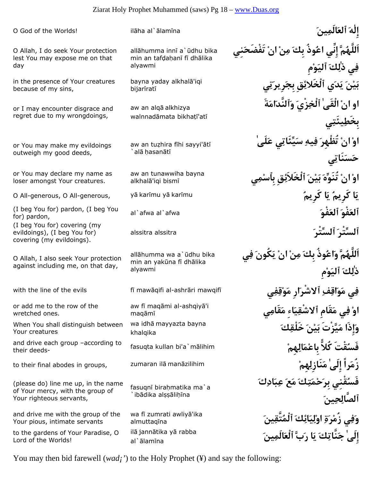O Allah, I do seek Your protection lest You may expose me on that day

in the presence of Your creatures because of my sins,

or I may encounter disgrace and regret due to my wrongdoings,

or You may make my evildoings outweigh my good deeds,

or You may declare my name as loser amongst Your creatures.

for) pardon, evildoings), (I beg You for) covering (my evildoings).

O Allah, I also seek Your protection against including me, on that day,

or add me to the row of the wretched ones.

When You shall distinguish between Your creatures

their deeds-

(please do) line me up, in the name of Your mercy, with the group of Your righteous servants,

and drive me with the group of the Your pious, intimate servants

to the gardens of Your Paradise, O Lord of the Worlds!

allāhumma innī a`ūdhu bika min an tafdahanī fī dhālika alyawmi

bayna yaday alkhalā'iqi bijarīratī

aw an alqā alkhizya walnnadāmata bikhatī'atī

aw an tuzhira fīhi sayyi'ātī alā hasanātī

aw an tunawwiha bayna alkhalā'igi bismī

allāhumma wa a`ūdhu bika min an yakūna fī dhālika alyawmi

aw fī maqāmi al-ashqiyā'i maqāmī

wa idha mayyazta bayna khalqika

fasuqnī birahmatika ma`a `ibādika alssālihīna

wa fi zumrati awliyā'ika almuttaqīna ilā jannātika yā rabba al`ālamīna

O God of the Worlds! il¡ha al`¡lam¢na **َينِالَمَٱلع َهٰإِل اَللَّهُمَّ إِنِّي اعُوذُ بِكَ مِنْ انْ تَفْضَحَنِي فِي ذٰلِكَ ٱليَوْمِ بَيْنَ يَدَي ٱلْخَلائِقِ بِجَرِيرَتِي او انْ الْقَىٰ ٱلْخِزْيَ وَٱلنَّدَامَةَ بِخَطِيئَتِي اوْ انْ تُظْهِرَ فِيهِ سَيِّئَاتِي عَلَىٰ حَسَنَاتِي اوْ انْ تُنَوِّهَ بَيْنَ ٱلْخَلاَئِقِ بِٱسْمِي** O All-generous, O All-generous, y¡ kar¢mu y¡ kar¢mu **ُكَرِيم اَي ُكَرِيم اَي** al`afwa al`afwa **َفْوَٱلع َفْوَٱلع**) I beg You for) pardon, (I beg You alssitra alssitra **َٱلسِّتْر َٱلسِّتْر**) I beg You for) covering (my **اَللَّهُمَّ وَاعُوذُ بِكَ مِنْ انْ يَكُونَ فِي ذٰلِكَ ٱليَوْمِ فِي مَوَاقِفِ ٱلاشْرَارِ مَوْقِفِي** ¢mawqif ri¡ashr-al qifi¡maw ¢f evils the of line the with **اوْ فِي مَقَامِ ٱلاشْقِيَاءِ مَقَامِي وَإِذَا مَيَّزْتَ بَيْنَ خَلْقِكَ** fasuqta kullan bi'a`m¡lihim **ْهِمِالَمْعبِا ًّكُلا قْتَُفَس** and drive each group –according to to their final abodes in groups, zumaran il¡ man¡zilihim **ْهِمِنَازِلَم ٰإِلَى راًَزُم فَسُقْنِي بِرَحْمَتِكَ مَعَ عِبَادِكَ ٱلصَّالِحِينَ وَفِي زُمْرَةِ اوْلِيَائِكَ ٱلْمُتَّقِينَ إِلَىٰ جَنَّاتِكَ يَا رَبَّ ٱلْعَالَمِينَ**

You may then bid farewell (*wad<sub>i</sub>'*) to the Holy Prophet (\in ) and say the following: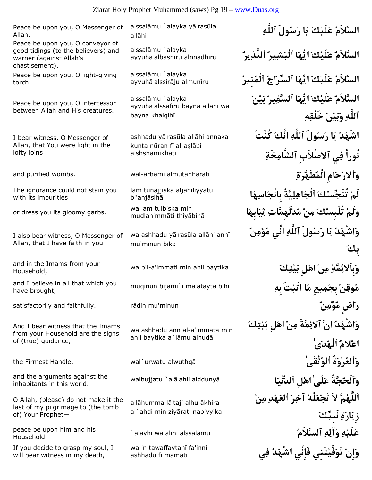Peace be upon you, O Messenger of Allah.

Peace be upon you, O conveyor of good tidings (to the believers) and warner (against Allah's chastisement).

Peace be upon you, O light-giving torch.

Peace be upon you, O intercessor between Allah and His creatures.

I bear witness, O Messenger of Allah, that You were light in the lofty loins

The ignorance could not stain you with its impurities

I also bear witness, O Messenger of Allah, that I have faith in you

and in the Imams from your Household,

have brought,

And I bear witness that the Imams from your Household are the signs of (true) guidance,

and the arguments against the walhujiatu `ala ahli aldduny a inhabitants in this world.

O Allah, (please) do not make it the last of my pilgrimage to (the tomb of) Your Prophet—

Household.

If you decide to grasp my soul, I will bear witness in my death,

alssalāmu `alayka yā rasūla allāhi

alssalāmu `alayka ayyuhā albashīru alnnadhīru

alssalāmu `alayka ayyuhā alssirāju almunīru

alssalāmu `alayka ayyuhā alssafīru bayna allāhi wa bayna khalqihī

ashhadu yā rasūla allāhi annaka kunta nūran fī al-aslābi alshshāmikhati

lam tunajjiska aljāhiliyyatu bi'anjāsihā

wa lam tulbiska min or dress you its gloomy garbs.<br>mudlahimmāti thiyābihā

> wa ashhadu yā rasūla allāhi annī mu'minun bika

wa ashhadu ann al-a'immata min ahli baytika a`lāmu alhudā

allāhumma lā taj`alhu ākhira al`ahdi min ziyārati nabiyyika

wa in tawaffaytanī fa'innī ashhadu fī mamātī

 **السَّلاَمُ عَلَيْكَ يَا رَسُولَ ٱللَّهِ السَّلاَمُ عَلَيْكَ ايُّهَا ٱلْبَشِيرُ ٱلنَّذِيرُ السَّلاَمُ عَلَيْكَ ايُّهَا ٱلسِّرَاجُ ٱلْمُنِيرُ السَّلاَمُ عَلَيْكَ ايُّهَا ٱلسَّفِيرُ بَيْنَ ٱللَّهِ وَبَيْنَ خَلْقِهِ اشْهَدُ يَا رَسُولَ ٱللَّهِ انَّكَ كُنْتَ نُوراً فِي ٱلاصْلاَبِ ٱلشَّامِخَةِ وَٱلارْحَامِ الْمُطَهَّرَةِ** ahharati§almu mi¦¡ar-wal .wombs purified and **لَمْ تُنَجِّسْكَ ٱلْجَاهِلِيَّةُ بِانْجَاسِهَا وَلَمْ تُلْبِسْكَ مِنْ مُدْلَهِمَّاتِ ثِيَابِهَا وَاشْهَدُ يَا رَسُولَ ٱللَّهِ انِّي مُؤْمِنٌ بِكَ وَبِٱلائِمَّةِ مِنْ اهْلِ بَيْتِكَ** baytika ahli min immati'a-bil wa mūqinun bijamī`i mā atayta bihī مُوقِنٌ بِجَمِيعِ مَ**ا اَتَيْتَ بِهِ** مَسْلاً and I believe in all that which you<br>have brought, satisfactorily and faithfully. r¡¤in mu'minun **ٌنِمْؤُم اضٍَر وَاشْهَدُ انَّ ٱلائِمَّةَ مِنْ اهْلِ بَيْتِكَ اعْلامُ ٱلْهُدَىٰ وَٱلعُرْوَةُ ٱلوُثْقَىٰ** ¡alwuthq urwatu`wal ,Handle Firmest the **وَٱلْحُجَّةُ عَلَىٰ اهْلِ ٱلدُّنْيَا** ¡al `ujjatu¦wal **اَللَّهُمَّ لاَ تَجْعَلْهُ آخِرَ ٱلعَهْدِ مِنْ زِيَارَةِ نَبِيِّكَ** `alayhi wa ¡lih¢ alssal¡mu **ُٱلسَّلاَم ِهِآلَو ِهْلَيَع** peace be upon him and his **وَإِنْ تَوَفَّيْتَنِي فَإِنِّي اشْهَدُ فِي**